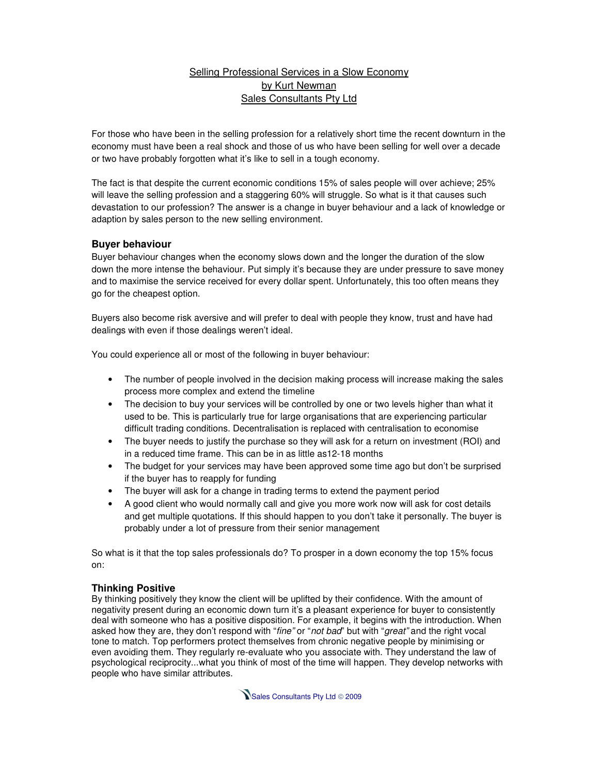# Selling Professional Services in a Slow Economy by Kurt Newman Sales Consultants Pty Ltd

For those who have been in the selling profession for a relatively short time the recent downturn in the economy must have been a real shock and those of us who have been selling for well over a decade or two have probably forgotten what it's like to sell in a tough economy.

The fact is that despite the current economic conditions 15% of sales people will over achieve; 25% will leave the selling profession and a staggering 60% will struggle. So what is it that causes such devastation to our profession? The answer is a change in buyer behaviour and a lack of knowledge or adaption by sales person to the new selling environment.

## **Buyer behaviour**

Buyer behaviour changes when the economy slows down and the longer the duration of the slow down the more intense the behaviour. Put simply it's because they are under pressure to save money and to maximise the service received for every dollar spent. Unfortunately, this too often means they go for the cheapest option.

Buyers also become risk aversive and will prefer to deal with people they know, trust and have had dealings with even if those dealings weren't ideal.

You could experience all or most of the following in buyer behaviour:

- The number of people involved in the decision making process will increase making the sales process more complex and extend the timeline
- The decision to buy your services will be controlled by one or two levels higher than what it used to be. This is particularly true for large organisations that are experiencing particular difficult trading conditions. Decentralisation is replaced with centralisation to economise
- The buyer needs to justify the purchase so they will ask for a return on investment (ROI) and in a reduced time frame. This can be in as little as12-18 months
- The budget for your services may have been approved some time ago but don't be surprised if the buyer has to reapply for funding
- The buyer will ask for a change in trading terms to extend the payment period
- A good client who would normally call and give you more work now will ask for cost details and get multiple quotations. If this should happen to you don't take it personally. The buyer is probably under a lot of pressure from their senior management

So what is it that the top sales professionals do? To prosper in a down economy the top 15% focus on:

## **Thinking Positive**

By thinking positively they know the client will be uplifted by their confidence. With the amount of negativity present during an economic down turn it's a pleasant experience for buyer to consistently deal with someone who has a positive disposition. For example, it begins with the introduction. When asked how they are, they don't respond with "fine" or "not bad" but with "great" and the right vocal tone to match. Top performers protect themselves from chronic negative people by minimising or even avoiding them. They regularly re-evaluate who you associate with. They understand the law of psychological reciprocity...what you think of most of the time will happen. They develop networks with people who have similar attributes.